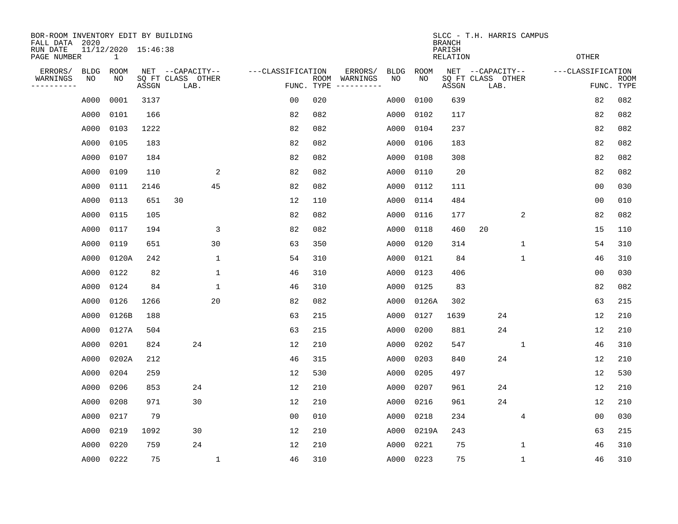| BOR-ROOM INVENTORY EDIT BY BUILDING<br>FALL DATA 2020<br>RUN DATE<br>PAGE NUMBER |                   | 11/12/2020 15:46:38<br>$\mathbf 1$ |       |                                               |                    |            |      |                     |                   |                   | <b>BRANCH</b><br>PARISH<br><b>RELATION</b> | SLCC - T.H. HARRIS CAMPUS                     | <b>OTHER</b> |                   |                           |
|----------------------------------------------------------------------------------|-------------------|------------------------------------|-------|-----------------------------------------------|--------------------|------------|------|---------------------|-------------------|-------------------|--------------------------------------------|-----------------------------------------------|--------------|-------------------|---------------------------|
| ERRORS/<br>WARNINGS<br>--------                                                  | <b>BLDG</b><br>NO | ROOM<br>NO                         | ASSGN | NET --CAPACITY--<br>SQ FT CLASS OTHER<br>LAB. | ---CLASSIFICATION  | FUNC. TYPE | ROOM | ERRORS/<br>WARNINGS | <b>BLDG</b><br>NO | <b>ROOM</b><br>NO | ASSGN                                      | NET --CAPACITY--<br>SQ FT CLASS OTHER<br>LAB. |              | ---CLASSIFICATION | <b>ROOM</b><br>FUNC. TYPE |
|                                                                                  | A000              | 0001                               | 3137  |                                               | 0 <sub>0</sub>     |            | 020  |                     | A000              | 0100              | 639                                        |                                               |              | 82                | 082                       |
|                                                                                  | A000              | 0101                               | 166   |                                               | 82                 |            | 082  |                     | A000              | 0102              | 117                                        |                                               |              | 82                | 082                       |
|                                                                                  | A000              | 0103                               | 1222  |                                               | 82                 |            | 082  |                     | A000              | 0104              | 237                                        |                                               |              | 82                | 082                       |
|                                                                                  | A000              | 0105                               | 183   |                                               | 82                 |            | 082  |                     | A000              | 0106              | 183                                        |                                               |              | 82                | 082                       |
|                                                                                  | A000              | 0107                               | 184   |                                               | 82                 |            | 082  |                     | A000              | 0108              | 308                                        |                                               |              | 82                | 082                       |
|                                                                                  | A000              | 0109                               | 110   |                                               | 2<br>82            |            | 082  |                     | A000              | 0110              | 20                                         |                                               |              | 82                | 082                       |
|                                                                                  | A000              | 0111                               | 2146  | 45                                            | 82                 |            | 082  |                     | A000              | 0112              | 111                                        |                                               |              | 0 <sub>0</sub>    | 030                       |
|                                                                                  | A000              | 0113                               | 651   | 30                                            | 12                 |            | 110  |                     | A000              | 0114              | 484                                        |                                               |              | 0 <sub>0</sub>    | 010                       |
|                                                                                  | A000              | 0115                               | 105   |                                               | 82                 |            | 082  |                     | A000              | 0116              | 177                                        |                                               | 2            | 82                | 082                       |
|                                                                                  | A000              | 0117                               | 194   |                                               | 3<br>82            |            | 082  |                     | A000              | 0118              | 460                                        | 20                                            |              | 15                | 110                       |
|                                                                                  | A000              | 0119                               | 651   | 30                                            | 63                 |            | 350  |                     | A000              | 0120              | 314                                        |                                               | $\mathbf{1}$ | 54                | 310                       |
|                                                                                  | A000              | 0120A                              | 242   |                                               | $\mathbf 1$<br>54  |            | 310  |                     | A000              | 0121              | 84                                         |                                               | $\mathbf{1}$ | 46                | 310                       |
|                                                                                  | A000              | 0122                               | 82    |                                               | 1<br>46            |            | 310  |                     | A000              | 0123              | 406                                        |                                               |              | 0 <sub>0</sub>    | 030                       |
|                                                                                  | A000              | 0124                               | 84    |                                               | 1<br>46            |            | 310  |                     | A000              | 0125              | 83                                         |                                               |              | 82                | 082                       |
|                                                                                  | A000              | 0126                               | 1266  | 20                                            | 82                 |            | 082  |                     | A000              | 0126A             | 302                                        |                                               |              | 63                | 215                       |
|                                                                                  | A000              | 0126B                              | 188   |                                               | 63                 |            | 215  |                     | A000              | 0127              | 1639                                       | 24                                            |              | 12                | 210                       |
|                                                                                  | A000              | 0127A                              | 504   |                                               | 63                 |            | 215  |                     | A000              | 0200              | 881                                        | 24                                            |              | 12                | 210                       |
|                                                                                  | A000              | 0201                               | 824   | 24                                            | 12                 |            | 210  |                     | A000              | 0202              | 547                                        |                                               | 1            | 46                | 310                       |
|                                                                                  | A000              | 0202A                              | 212   |                                               | 46                 |            | 315  |                     | A000              | 0203              | 840                                        | 24                                            |              | 12                | 210                       |
|                                                                                  | A000              | 0204                               | 259   |                                               | 12                 |            | 530  |                     | A000              | 0205              | 497                                        |                                               |              | 12                | 530                       |
|                                                                                  | A000              | 0206                               | 853   | 24                                            | 12                 |            | 210  |                     | A000              | 0207              | 961                                        | 24                                            |              | 12                | 210                       |
|                                                                                  | A000              | 0208                               | 971   | 30                                            | 12                 |            | 210  |                     | A000              | 0216              | 961                                        | 24                                            |              | 12                | 210                       |
|                                                                                  | A000              | 0217                               | 79    |                                               | 0 <sub>0</sub>     |            | 010  |                     | A000              | 0218              | 234                                        |                                               | 4            | 0 <sub>0</sub>    | 030                       |
|                                                                                  | A000              | 0219                               | 1092  | 30                                            | 12                 |            | 210  |                     | A000              | 0219A             | 243                                        |                                               |              | 63                | 215                       |
|                                                                                  | A000              | 0220                               | 759   | 24                                            | 12                 |            | 210  |                     | A000              | 0221              | 75                                         |                                               | 1            | 46                | 310                       |
|                                                                                  | A000              | 0222                               | 75    |                                               | $\mathbf{1}$<br>46 |            | 310  |                     | A000              | 0223              | 75                                         |                                               | $\mathbf{1}$ | 46                | 310                       |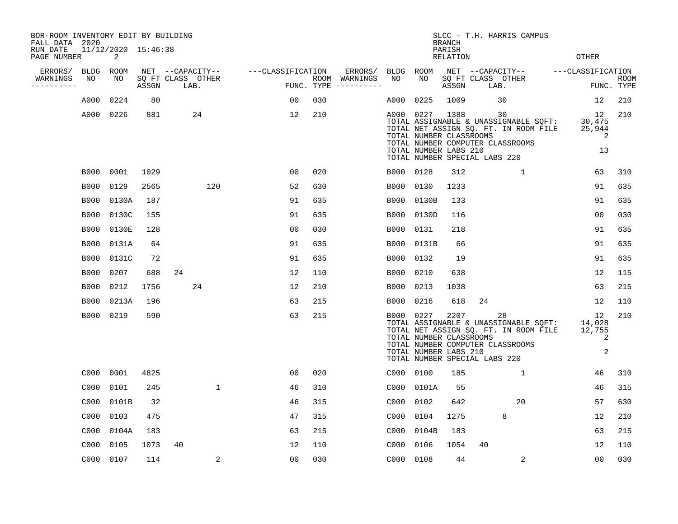| BOR-ROOM INVENTORY EDIT BY BUILDING<br>FALL DATA 2020 |             |                          |       |                           |                     |     |                                      |             |                                                  | <b>BRANCH</b>      | SLCC - T.H. HARRIS CAMPUS                                                                                                                                 |                                   |                    |
|-------------------------------------------------------|-------------|--------------------------|-------|---------------------------|---------------------|-----|--------------------------------------|-------------|--------------------------------------------------|--------------------|-----------------------------------------------------------------------------------------------------------------------------------------------------------|-----------------------------------|--------------------|
| RUN DATE<br>PAGE NUMBER                               |             | 11/12/2020 15:46:38<br>2 |       |                           |                     |     |                                      |             |                                                  | PARISH<br>RELATION |                                                                                                                                                           | <b>OTHER</b>                      |                    |
| ERRORS/                                               | <b>BLDG</b> | ROOM                     |       | NET --CAPACITY--          | ---CLASSIFICATION   |     | ERRORS/                              | BLDG        | ROOM                                             |                    | NET --CAPACITY--                                                                                                                                          | ---CLASSIFICATION                 |                    |
| WARNINGS<br>----------                                | NO          | NO                       | ASSGN | SQ FT CLASS OTHER<br>LAB. |                     |     | ROOM WARNINGS<br>FUNC. TYPE $------$ | NO          | NO                                               | ASSGN              | SQ FT CLASS OTHER<br>LAB.                                                                                                                                 |                                   | ROOM<br>FUNC. TYPE |
|                                                       | A000        | 0224                     | 80    |                           | 00                  | 030 |                                      | A000        | 0225                                             | 1009               | 30                                                                                                                                                        | 12                                | 210                |
|                                                       | A000 0226   |                          | 881   | 24                        | 12                  | 210 |                                      | A000 0227   | TOTAL NUMBER CLASSROOMS<br>TOTAL NUMBER LABS 210 | 1388               | 30<br>TOTAL ASSIGNABLE & UNASSIGNABLE SQFT:<br>TOTAL NET ASSIGN SQ. FT. IN ROOM FILE<br>TOTAL NUMBER COMPUTER CLASSROOMS<br>TOTAL NUMBER SPECIAL LABS 220 | 12<br>30,475<br>25,944<br>2<br>13 | 210                |
|                                                       | B000 0001   |                          | 1029  |                           | 0 <sub>0</sub>      | 020 |                                      | B000 0128   |                                                  | 312                | $\mathbf{1}$                                                                                                                                              | 63                                | 310                |
|                                                       | B000        | 0129                     | 2565  | 120                       | 52                  | 630 |                                      | <b>B000</b> | 0130                                             | 1233               |                                                                                                                                                           | 91                                | 635                |
|                                                       | B000        | 0130A                    | 187   |                           | 91                  | 635 |                                      | B000        | 0130B                                            | 133                |                                                                                                                                                           | 91                                | 635                |
|                                                       | B000        | 0130C                    | 155   |                           | 91                  | 635 |                                      | B000        | 0130D                                            | 116                |                                                                                                                                                           | 0 <sub>0</sub>                    | 030                |
|                                                       | <b>B000</b> | 0130E                    | 128   |                           | 0 <sub>0</sub>      | 030 |                                      | <b>B000</b> | 0131                                             | 218                |                                                                                                                                                           | 91                                | 635                |
|                                                       | <b>B000</b> | 0131A                    | 64    |                           | 91                  | 635 |                                      | <b>B000</b> | 0131B                                            | 66                 |                                                                                                                                                           | 91                                | 635                |
|                                                       | <b>B000</b> | 0131C                    | 72    |                           | 91                  | 635 |                                      | <b>B000</b> | 0132                                             | 19                 |                                                                                                                                                           | 91                                | 635                |
|                                                       | <b>B000</b> | 0207                     | 688   | 24                        | 12                  | 110 |                                      | <b>B000</b> | 0210                                             | 638                |                                                                                                                                                           | 12                                | 115                |
|                                                       | <b>B000</b> | 0212                     | 1756  | 24                        | 12                  | 210 |                                      | <b>B000</b> | 0213                                             | 1038               |                                                                                                                                                           | 63                                | 215                |
|                                                       | B000        | 0213A                    | 196   |                           | 63                  | 215 |                                      | B000        | 0216                                             | 618                | 24                                                                                                                                                        | 12                                | 110                |
|                                                       | B000        | 0219                     | 590   |                           | 63                  | 215 |                                      | B000 0227   | TOTAL NUMBER CLASSROOMS<br>TOTAL NUMBER LABS 210 | 2207               | 28<br>TOTAL ASSIGNABLE & UNASSIGNABLE SQFT:<br>TOTAL NET ASSIGN SQ. FT. IN ROOM FILE<br>TOTAL NUMBER COMPUTER CLASSROOMS<br>TOTAL NUMBER SPECIAL LABS 220 | 12<br>14,028<br>12,755<br>2<br>2  | 210                |
|                                                       | C000        | 0001                     | 4825  |                           | 0 <sub>0</sub>      | 020 |                                      | C000 0100   |                                                  | 185                | 1                                                                                                                                                         | 46                                | 310                |
|                                                       | C000        | 0101                     | 245   |                           | $\mathbf{1}$<br>46  | 310 |                                      | C000        | 0101A                                            | 55                 |                                                                                                                                                           | 46                                | 315                |
|                                                       | C000        | 0101B                    | 32    |                           | 46                  | 315 |                                      | C000        | 0102                                             | 642                | 20                                                                                                                                                        | 57                                | 630                |
|                                                       | C000        | 0103                     | 475   |                           | 47                  | 315 |                                      | C000        | 0104                                             | 1275               | 8                                                                                                                                                         | 12                                | 210                |
|                                                       | C000        | 0104A                    | 183   |                           | 63                  | 215 |                                      | C000        | 0104B                                            | 183                |                                                                                                                                                           | 63                                | 215                |
|                                                       | C000        | 0105                     | 1073  | 40                        | 12                  | 110 |                                      | C000        | 0106                                             | 1054               | 40                                                                                                                                                        | 12                                | 110                |
|                                                       | C000 0107   |                          | 114   |                           | 2<br>0 <sub>0</sub> | 030 |                                      | C000        | 0108                                             | 44                 | 2                                                                                                                                                         | 0 <sub>0</sub>                    | 030                |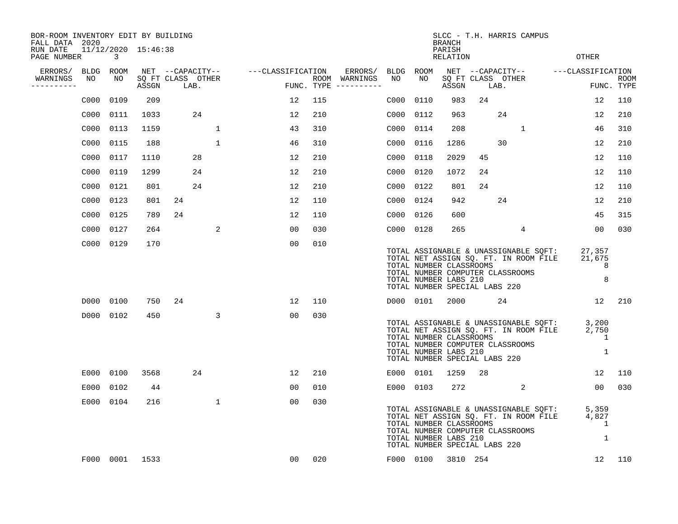| BOR-ROOM INVENTORY EDIT BY BUILDING<br>FALL DATA 2020 |                          |       |                           |                                    |     |                                      |           |                                                                                   | <b>BRANCH</b>      |                                                                                                                                                                                                                                 | SLCC - T.H. HARRIS CAMPUS                                                                                                      |                               |      |
|-------------------------------------------------------|--------------------------|-------|---------------------------|------------------------------------|-----|--------------------------------------|-----------|-----------------------------------------------------------------------------------|--------------------|---------------------------------------------------------------------------------------------------------------------------------------------------------------------------------------------------------------------------------|--------------------------------------------------------------------------------------------------------------------------------|-------------------------------|------|
| RUN DATE<br>PAGE NUMBER                               | 11/12/2020 15:46:38<br>3 |       |                           |                                    |     |                                      |           |                                                                                   | PARISH<br>RELATION |                                                                                                                                                                                                                                 |                                                                                                                                | OTHER                         |      |
| ERRORS/                                               | BLDG ROOM                |       |                           | NET --CAPACITY-- ---CLASSIFICATION |     | ERRORS/                              | BLDG ROOM |                                                                                   |                    |                                                                                                                                                                                                                                 | NET --CAPACITY-- ---CLASSIFICATION                                                                                             |                               |      |
| WARNINGS<br>NO<br>----------                          | NO                       | ASSGN | SQ FT CLASS OTHER<br>LAB. |                                    |     | ROOM WARNINGS<br>FUNC. TYPE $------$ | NO        | NO.                                                                               | ASSGN              |                                                                                                                                                                                                                                 | SQ FT CLASS OTHER<br>LAB.                                                                                                      | FUNC. TYPE                    | ROOM |
| C000                                                  | 0109                     | 209   |                           | 12                                 | 115 |                                      | C000      | 0110                                                                              | 983                | 24                                                                                                                                                                                                                              |                                                                                                                                | 12                            | 110  |
| C000                                                  | 0111                     | 1033  | 24                        | 12                                 | 210 |                                      | C000      | 0112                                                                              | 963                |                                                                                                                                                                                                                                 | 24                                                                                                                             | 12                            | 210  |
| C000                                                  | 0113                     | 1159  | $\mathbf{1}$              | 43                                 | 310 |                                      | C000      | 0114                                                                              | 208                |                                                                                                                                                                                                                                 | 1                                                                                                                              | 46                            | 310  |
| C000                                                  | 0115                     | 188   | $\mathbf{1}$              | 46                                 | 310 |                                      | C000      | 0116                                                                              | 1286               |                                                                                                                                                                                                                                 | 30                                                                                                                             | 12                            | 210  |
| C000                                                  | 0117                     | 1110  | 28                        | 12                                 | 210 |                                      | C000      | 0118                                                                              | 2029               | 45                                                                                                                                                                                                                              |                                                                                                                                | 12                            | 110  |
| C000                                                  | 0119                     | 1299  | 24                        | 12                                 | 210 |                                      | C000      | 0120                                                                              | 1072               | 24                                                                                                                                                                                                                              |                                                                                                                                | 12                            | 110  |
| C000                                                  | 0121                     | 801   | 24                        | 12                                 | 210 |                                      | C000      | 0122                                                                              | 801                | 24                                                                                                                                                                                                                              |                                                                                                                                | 12                            | 110  |
| C000                                                  | 0123                     | 801   | 24                        | 12                                 | 110 |                                      | C000      | 0124                                                                              | 942                |                                                                                                                                                                                                                                 | 24                                                                                                                             | 12                            | 210  |
| C000                                                  | 0125                     | 789   | 24                        | 12                                 | 110 |                                      | C000      | 0126                                                                              | 600                |                                                                                                                                                                                                                                 |                                                                                                                                | 45                            | 315  |
| C000                                                  | 0127                     | 264   | 2                         | 00                                 | 030 |                                      | C000 0128 |                                                                                   | 265                |                                                                                                                                                                                                                                 | 4                                                                                                                              | 00                            | 030  |
|                                                       | C000 0129                | 170   |                           | 0 <sub>0</sub>                     | 010 |                                      |           | TOTAL NUMBER CLASSROOMS<br>TOTAL NUMBER LABS 210<br>TOTAL NUMBER SPECIAL LABS 220 |                    |                                                                                                                                                                                                                                 | TOTAL ASSIGNABLE & UNASSIGNABLE SQFT:<br>TOTAL NET ASSIGN SQ. FT. IN ROOM FILE<br>TOTAL NUMBER COMPUTER CLASSROOMS             | 27,357<br>21,675<br>8<br>8    |      |
|                                                       | D000 0100                | 750   | 24                        | 12                                 | 110 |                                      |           | D000 0101                                                                         |                    | 2000 - 2001 - 2002 - 2003 - 2004 - 2006 - 2007 - 2008 - 2012 - 2014 - 2014 - 2014 - 2014 - 2014 - 2014 - 2014 - 2014 - 2014 - 2014 - 2014 - 2014 - 2014 - 2014 - 2014 - 2014 - 2014 - 2014 - 2014 - 2014 - 2014 - 2014 - 2014 - | 24                                                                                                                             | 12 210                        |      |
|                                                       | D000 0102                | 450   | 3                         | 00                                 | 030 |                                      |           | TOTAL NUMBER CLASSROOMS<br>TOTAL NUMBER LABS 210<br>TOTAL NUMBER SPECIAL LABS 220 |                    |                                                                                                                                                                                                                                 | TOTAL ASSIGNABLE & UNASSIGNABLE SQFT: 3,200<br>TOTAL NET ASSIGN SQ. FT. IN ROOM FILE<br>TOTAL NUMBER COMPUTER CLASSROOMS       | 2,750<br>1<br>1               |      |
|                                                       | E000 0100                | 3568  | 24                        | 12                                 | 210 |                                      | E000 0101 |                                                                                   | 1259               | 28                                                                                                                                                                                                                              |                                                                                                                                | $12 \overline{ }$             | 110  |
| E000                                                  | 0102                     | 44    |                           | 0 <sub>0</sub>                     | 010 |                                      | E000 0103 |                                                                                   | 272                |                                                                                                                                                                                                                                 | 2                                                                                                                              | 00                            | 030  |
|                                                       | E000 0104                | 216   | $\mathbf{1}$              | 00                                 | 030 |                                      |           | TOTAL NUMBER CLASSROOMS<br>TOTAL NUMBER LABS 210<br>TOTAL NUMBER SPECIAL LABS 220 |                    |                                                                                                                                                                                                                                 | TOTAL ASSIGNABLE & UNASSIGNABLE SQFT: 5,359<br>TOTAL NET ASSIGN SQ. FT. IN ROOM FILE 4,827<br>TOTAL NUMBER COMPUTER CLASSROOMS | $\overline{\phantom{0}}$<br>1 |      |
|                                                       | F000 0001                | 1533  |                           | 00                                 | 020 |                                      |           | F000 0100                                                                         |                    | 3810 254                                                                                                                                                                                                                        |                                                                                                                                | 12                            | 110  |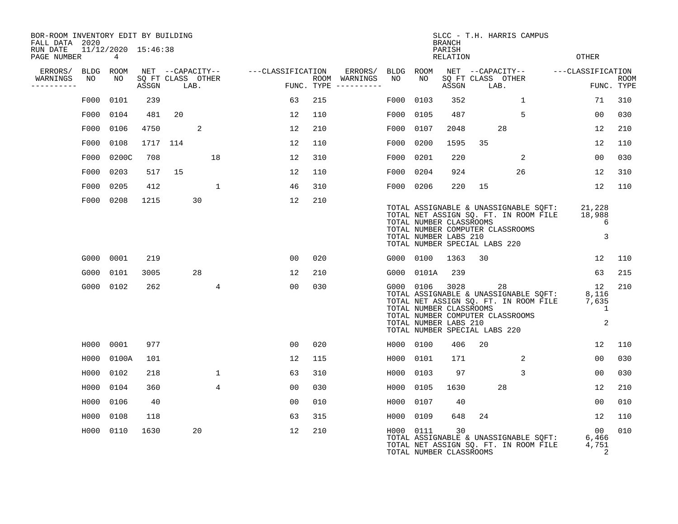| BOR-ROOM INVENTORY EDIT BY BUILDING<br>FALL DATA 2020 |                          |          |    |                           |                   |     |                                      |           |            | <b>BRANCH</b>                                                                             |      | SLCC - T.H. HARRIS CAMPUS                                                                                                |                                           |                           |
|-------------------------------------------------------|--------------------------|----------|----|---------------------------|-------------------|-----|--------------------------------------|-----------|------------|-------------------------------------------------------------------------------------------|------|--------------------------------------------------------------------------------------------------------------------------|-------------------------------------------|---------------------------|
| RUN DATE<br>PAGE NUMBER                               | 11/12/2020 15:46:38<br>4 |          |    |                           |                   |     |                                      |           |            | PARISH<br>RELATION                                                                        |      |                                                                                                                          | OTHER                                     |                           |
| ERRORS/                                               | BLDG ROOM                |          |    | NET --CAPACITY--          | ---CLASSIFICATION |     | ERRORS/                              | BLDG      | ROOM       |                                                                                           |      | NET --CAPACITY--                                                                                                         | ---CLASSIFICATION                         |                           |
| WARNINGS<br>NO<br>----------                          | NO                       | ASSGN    |    | SQ FT CLASS OTHER<br>LAB. |                   |     | ROOM WARNINGS<br>FUNC. TYPE $------$ | NO        | NO         | ASSGN                                                                                     | LAB. | SQ FT CLASS OTHER                                                                                                        |                                           | <b>ROOM</b><br>FUNC. TYPE |
| F000                                                  | 0101                     | 239      |    |                           | 63                | 215 |                                      | F000      | 0103       | 352                                                                                       |      | 1                                                                                                                        | 71                                        | 310                       |
|                                                       | F000 0104                | 481      | 20 |                           | 12                | 110 |                                      | F000      | 0105       | 487                                                                                       |      | 5                                                                                                                        | 0 <sub>0</sub>                            | 030                       |
|                                                       | F000 0106                | 4750     |    | 2                         | 12                | 210 |                                      | F000      | 0107       | 2048                                                                                      |      | 28                                                                                                                       | 12                                        | 210                       |
| F000                                                  | 0108                     | 1717 114 |    |                           | 12                | 110 |                                      | F000      | 0200       | 1595                                                                                      | 35   |                                                                                                                          | 12                                        | 110                       |
|                                                       | F000 0200C               | 708      |    | 18                        | 12                | 310 |                                      | F000 0201 |            | 220                                                                                       |      | 2                                                                                                                        | 0 <sub>0</sub>                            | 030                       |
| F000                                                  | 0203                     | 517      | 15 |                           | 12                | 110 |                                      | F000      | 0204       | 924                                                                                       |      | 26                                                                                                                       | 12                                        | 310                       |
| F000                                                  | 0205                     | 412      |    | 1                         | 46                | 310 |                                      | F000 0206 |            | 220                                                                                       | 15   |                                                                                                                          | 12                                        | 110                       |
|                                                       | F000 0208                | 1215     |    | 30                        | 12                | 210 |                                      |           |            | TOTAL NUMBER CLASSROOMS<br>TOTAL NUMBER LABS 210<br>TOTAL NUMBER SPECIAL LABS 220         |      | TOTAL ASSIGNABLE & UNASSIGNABLE SQFT:<br>TOTAL NET ASSIGN SQ. FT. IN ROOM FILE<br>TOTAL NUMBER COMPUTER CLASSROOMS       | 21,228<br>18,988<br>6<br>3                |                           |
|                                                       | G000 0001                | 219      |    |                           | 00                | 020 |                                      | G000 0100 |            | 1363                                                                                      | 30   |                                                                                                                          | 12 <sup>°</sup>                           | 110                       |
| G000                                                  | 0101                     | 3005     |    | 28                        | 12                | 210 |                                      |           | G000 0101A | 239                                                                                       |      |                                                                                                                          | 63                                        | 215                       |
|                                                       | G000 0102                | 262      |    | $\overline{4}$            | 00                | 030 |                                      | G000 0106 |            | 3028<br>TOTAL NUMBER CLASSROOMS<br>TOTAL NUMBER LABS 210<br>TOTAL NUMBER SPECIAL LABS 220 |      | 28<br>TOTAL ASSIGNABLE & UNASSIGNABLE SQFT:<br>TOTAL NET ASSIGN SQ. FT. IN ROOM FILE<br>TOTAL NUMBER COMPUTER CLASSROOMS | 12<br>8,116<br>7,635<br>$\mathbf{1}$<br>2 | 210                       |
|                                                       | H000 0001                | 977      |    |                           | 0 <sub>0</sub>    | 020 |                                      | H000 0100 |            | 406                                                                                       | 20   |                                                                                                                          | 12                                        | 110                       |
| H000                                                  | 0100A                    | 101      |    |                           | 12                | 115 |                                      | H000      | 0101       | 171                                                                                       |      | 2                                                                                                                        | 0 <sub>0</sub>                            | 030                       |
| H000                                                  | 0102                     | 218      |    | $\mathbf{1}$              | 63                | 310 |                                      | H000      | 0103       | 97                                                                                        |      | 3                                                                                                                        | 00                                        | 030                       |
| H000                                                  | 0104                     | 360      |    | $\overline{4}$            | 00                | 030 |                                      | H000      | 0105       | 1630                                                                                      |      | 28                                                                                                                       | 12                                        | 210                       |
| H000                                                  | 0106                     | 40       |    |                           | 0 <sub>0</sub>    | 010 |                                      | H000      | 0107       | 40                                                                                        |      |                                                                                                                          | 0 <sub>0</sub>                            | 010                       |
| H000                                                  | 0108                     | 118      |    |                           | 63                | 315 |                                      | H000      | 0109       | 648                                                                                       | 24   |                                                                                                                          | 12                                        | 110                       |
|                                                       | H000 0110                | 1630     |    | 20                        | 12                | 210 |                                      | H000 0111 |            | 30<br>TOTAL NUMBER CLASSROOMS                                                             |      | TOTAL ASSIGNABLE & UNASSIGNABLE SQFT:<br>TOTAL NET ASSIGN SQ. FT. IN ROOM FILE                                           | 00<br>6,466<br>4,751<br>2                 | 010                       |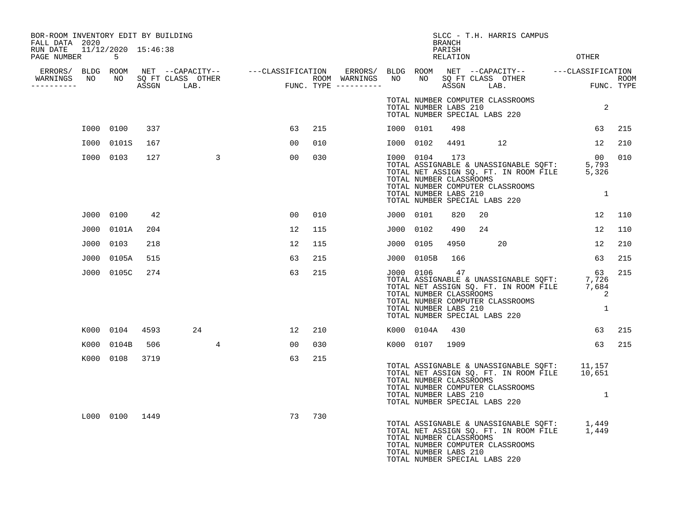| BOR-ROOM INVENTORY EDIT BY BUILDING<br>FALL DATA 2020 |                |      |                 |                 |     |           |                                                  | <b>BRANCH</b>      | SLCC - T.H. HARRIS CAMPUS                                                                                                                                         |                                              |     |
|-------------------------------------------------------|----------------|------|-----------------|-----------------|-----|-----------|--------------------------------------------------|--------------------|-------------------------------------------------------------------------------------------------------------------------------------------------------------------|----------------------------------------------|-----|
| RUN DATE 11/12/2020 15:46:38<br>PAGE NUMBER           | -5             |      |                 |                 |     |           |                                                  | PARISH<br>RELATION |                                                                                                                                                                   | OTHER                                        |     |
| ERRORS/ BLDG ROOM                                     |                |      |                 |                 |     |           |                                                  |                    |                                                                                                                                                                   |                                              |     |
| WARNINGS<br>NO<br>-----------                         | NO             |      |                 |                 |     |           |                                                  |                    |                                                                                                                                                                   |                                              |     |
|                                                       |                |      |                 |                 |     |           | TOTAL NUMBER LABS 210                            |                    | TOTAL NUMBER COMPUTER CLASSROOMS<br>TOTAL NUMBER SPECIAL LABS 220                                                                                                 | 2                                            |     |
|                                                       | I000 0100      | 337  |                 | 63              | 215 | I000 0101 |                                                  | 498                |                                                                                                                                                                   | 63                                           | 215 |
|                                                       | I000 0101S     | 167  |                 | 00              | 010 |           | I000 0102                                        | 4491               | 12                                                                                                                                                                | 12                                           | 210 |
|                                                       | I000 0103      | 127  | $\mathbf{3}$    | 00              | 030 | I000 0104 | TOTAL NUMBER CLASSROOMS<br>TOTAL NUMBER LABS 210 | 173                | TOTAL ASSIGNABLE & UNASSIGNABLE SQFT: 5,793<br>TOTAL NET ASSIGN SQ. FT. IN ROOM FILE 5,326<br>TOTAL NUMBER COMPUTER CLASSROOMS<br>TOTAL NUMBER SPECIAL LABS 220   | 00<br>$\mathbf{1}$                           | 010 |
|                                                       | J000 0100      | 42   |                 | 00              | 010 | J000 0101 |                                                  | 820                | 20                                                                                                                                                                | 12                                           | 110 |
|                                                       | J000 0101A     | 204  |                 | 12              | 115 | J000 0102 |                                                  | 490                | 24                                                                                                                                                                | 12                                           | 110 |
|                                                       | J000 0103      | 218  |                 | 12              | 115 | J000 0105 |                                                  | 4950               | 20                                                                                                                                                                | 12                                           | 210 |
| J000                                                  | 0105A          | 515  |                 | 63              | 215 |           | J000 0105B                                       | 166                |                                                                                                                                                                   | 63                                           | 215 |
|                                                       | J000 0105C     | 274  |                 | 63              | 215 | J000 0106 | TOTAL NUMBER CLASSROOMS<br>TOTAL NUMBER LABS 210 | 47                 | TOTAL ASSIGNABLE & UNASSIGNABLE SQFT: 7,726<br>TOTAL NET ASSIGN SQ. FT. IN ROOM FILE 7,684<br>TOTAL NUMBER COMPUTER CLASSROOMS<br>TOTAL NUMBER SPECIAL LABS 220   | 63<br>7,726<br>$\overline{\phantom{a}}$<br>1 | 215 |
|                                                       | K000 0104      | 4593 | 24              | 12 <sup>°</sup> | 210 |           | K000 0104A                                       | 430                |                                                                                                                                                                   | 63                                           | 215 |
| K000                                                  | 0104B          | 506  | $4\overline{ }$ | 00              | 030 |           | K000 0107 1909                                   |                    |                                                                                                                                                                   | 63                                           | 215 |
|                                                       | K000 0108      | 3719 |                 | 63              | 215 |           | TOTAL NUMBER CLASSROOMS<br>TOTAL NUMBER LABS 210 |                    | TOTAL ASSIGNABLE & UNASSIGNABLE SQFT: 11,157<br>TOTAL NET ASSIGN SQ. FT. IN ROOM FILE 10,651<br>TOTAL NUMBER COMPUTER CLASSROOMS<br>TOTAL NUMBER SPECIAL LABS 220 | $\mathbf{1}$                                 |     |
|                                                       | L000 0100 1449 |      |                 | 73              | 730 |           | TOTAL NUMBER CLASSROOMS<br>TOTAL NUMBER LABS 210 |                    | TOTAL ASSIGNABLE & UNASSIGNABLE SQFT: 1,449<br>TOTAL NET ASSIGN SQ. FT. IN ROOM FILE 1,449<br>TOTAL NUMBER COMPUTER CLASSROOMS<br>TOTAL NUMBER SPECIAL LABS 220   |                                              |     |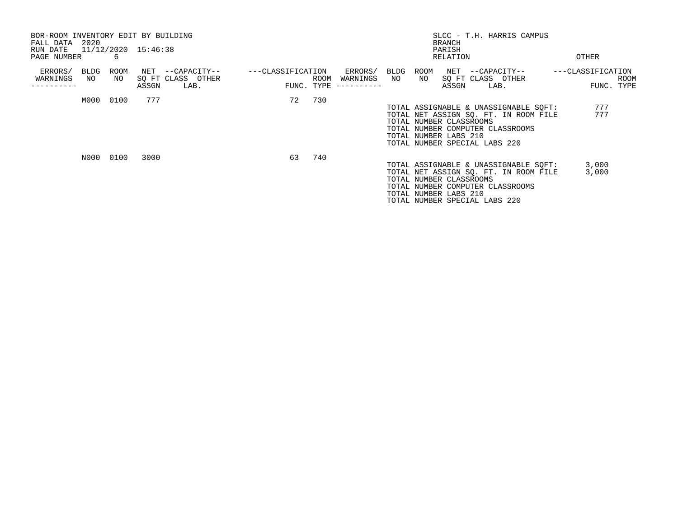| BOR-ROOM INVENTORY EDIT BY BUILDING<br>FALL DATA 2020<br>RUN DATE |            |            | 11/12/2020 15:46:38 |                                       |                   |      |                        |      |                         | BRANCH<br>PARISH |                                          | SLCC - T.H. HARRIS CAMPUS             |                   |             |
|-------------------------------------------------------------------|------------|------------|---------------------|---------------------------------------|-------------------|------|------------------------|------|-------------------------|------------------|------------------------------------------|---------------------------------------|-------------------|-------------|
| PAGE NUMBER                                                       |            | -6         |                     |                                       |                   |      |                        |      |                         | RELATION         |                                          |                                       | OTHER             |             |
| ERRORS/<br>WARNINGS                                               | BLDG<br>NO | ROOM<br>NO |                     | NET --CAPACITY--<br>SQ FT CLASS OTHER | ---CLASSIFICATION | ROOM | ERRORS/<br>WARNINGS NO | BLDG | ROOM                    |                  | NET --CAPACITY--<br>NO SQ FT CLASS OTHER |                                       | ---CLASSIFICATION | <b>ROOM</b> |
| ---------                                                         |            |            | ASSGN               | LAB.                                  |                   |      | $FUNC. TYPE$ --------- |      |                         | ASSGN            | LAB.                                     |                                       | FUNC. TYPE        |             |
|                                                                   | M000 0100  |            | 777                 |                                       | 72                | 730  |                        |      |                         |                  |                                          |                                       |                   |             |
|                                                                   |            |            |                     |                                       |                   |      |                        |      |                         |                  |                                          | TOTAL ASSIGNABLE & UNASSIGNABLE SQFT: | 777               |             |
|                                                                   |            |            |                     |                                       |                   |      |                        |      |                         |                  |                                          | TOTAL NET ASSIGN SQ. FT. IN ROOM FILE | 777               |             |
|                                                                   |            |            |                     |                                       |                   |      |                        |      | TOTAL NUMBER CLASSROOMS |                  |                                          |                                       |                   |             |
|                                                                   |            |            |                     |                                       |                   |      |                        |      |                         |                  |                                          | TOTAL NUMBER COMPUTER CLASSROOMS      |                   |             |
|                                                                   |            |            |                     |                                       |                   |      |                        |      | TOTAL NUMBER LABS 210   |                  |                                          |                                       |                   |             |
|                                                                   |            |            |                     |                                       |                   |      |                        |      |                         |                  | TOTAL NUMBER SPECIAL LABS 220            |                                       |                   |             |
|                                                                   |            | N000 0100  | 3000                |                                       | 63                | 740  |                        |      |                         |                  |                                          |                                       |                   |             |
|                                                                   |            |            |                     |                                       |                   |      |                        |      |                         |                  |                                          | TOTAL ASSIGNABLE & UNASSIGNABLE SOFT: | 3,000             |             |
|                                                                   |            |            |                     |                                       |                   |      |                        |      |                         |                  |                                          | TOTAL NET ASSIGN SQ. FT. IN ROOM FILE | 3,000             |             |
|                                                                   |            |            |                     |                                       |                   |      |                        |      | TOTAL NUMBER CLASSROOMS |                  |                                          |                                       |                   |             |
|                                                                   |            |            |                     |                                       |                   |      |                        |      |                         |                  |                                          | TOTAL NUMBER COMPUTER CLASSROOMS      |                   |             |
|                                                                   |            |            |                     |                                       |                   |      |                        |      | TOTAL NUMBER LABS 210   |                  |                                          |                                       |                   |             |
|                                                                   |            |            |                     |                                       |                   |      |                        |      |                         |                  | TOTAL NUMBER SPECIAL LABS 220            |                                       |                   |             |